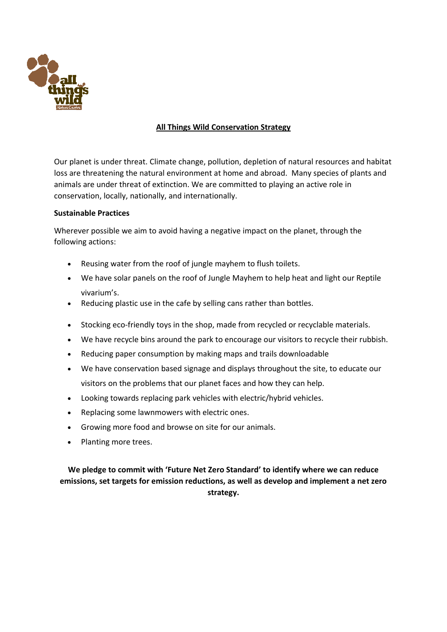

# **All Things Wild Conservation Strategy**

Our planet is under threat. Climate change, pollution, depletion of natural resources and habitat loss are threatening the natural environment at home and abroad. Many species of plants and animals are under threat of extinction. We are committed to playing an active role in conservation, locally, nationally, and internationally.

#### **Sustainable Practices**

Wherever possible we aim to avoid having a negative impact on the planet, through the following actions:

- Reusing water from the roof of jungle mayhem to flush toilets.
- We have solar panels on the roof of Jungle Mayhem to help heat and light our Reptile vivarium's.
- Reducing plastic use in the cafe by selling cans rather than bottles.
- Stocking eco-friendly toys in the shop, made from recycled or recyclable materials.
- We have recycle bins around the park to encourage our visitors to recycle their rubbish.
- Reducing paper consumption by making maps and trails downloadable
- We have conservation based signage and displays throughout the site, to educate our visitors on the problems that our planet faces and how they can help.
- Looking towards replacing park vehicles with electric/hybrid vehicles.
- Replacing some lawnmowers with electric ones.
- Growing more food and browse on site for our animals.
- Planting more trees.

**We pledge to commit with 'Future Net Zero Standard' to identify where we can reduce emissions, set targets for emission reductions, as well as develop and implement a net zero strategy.**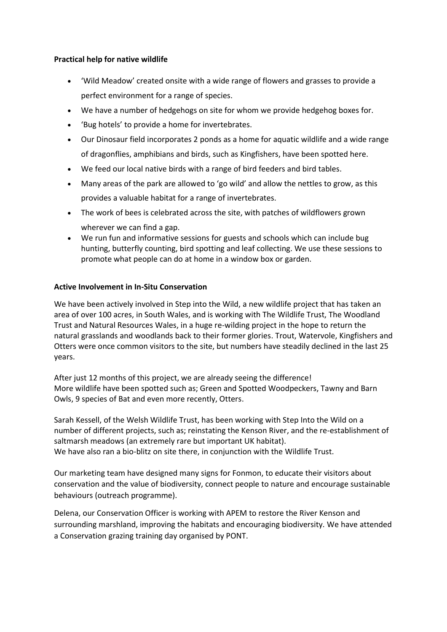## **Practical help for native wildlife**

- 'Wild Meadow' created onsite with a wide range of flowers and grasses to provide a perfect environment for a range of species.
- We have a number of hedgehogs on site for whom we provide hedgehog boxes for.
- 'Bug hotels' to provide a home for invertebrates.
- Our Dinosaur field incorporates 2 ponds as a home for aquatic wildlife and a wide range of dragonflies, amphibians and birds, such as Kingfishers, have been spotted here.
- We feed our local native birds with a range of bird feeders and bird tables.
- Many areas of the park are allowed to 'go wild' and allow the nettles to grow, as this provides a valuable habitat for a range of invertebrates.
- The work of bees is celebrated across the site, with patches of wildflowers grown wherever we can find a gap.
- We run fun and informative sessions for guests and schools which can include bug hunting, butterfly counting, bird spotting and leaf collecting. We use these sessions to promote what people can do at home in a window box or garden.

# **Active Involvement in In-Situ Conservation**

We have been actively involved in Step into the Wild, a new wildlife project that has taken an area of over 100 acres, in South Wales, and is working with The Wildlife Trust, The Woodland Trust and Natural Resources Wales, in a huge re-wilding project in the hope to return the natural grasslands and woodlands back to their former glories. Trout, Watervole, Kingfishers and Otters were once common visitors to the site, but numbers have steadily declined in the last 25 years.

After just 12 months of this project, we are already seeing the difference! More wildlife have been spotted such as; Green and Spotted Woodpeckers, Tawny and Barn Owls, 9 species of Bat and even more recently, Otters.

Sarah Kessell, of the Welsh Wildlife Trust, has been working with Step Into the Wild on a number of different projects, such as; reinstating the Kenson River, and the re-establishment of saltmarsh meadows (an extremely rare but important UK habitat). We have also ran a bio-blitz on site there, in conjunction with the Wildlife Trust.

Our marketing team have designed many signs for Fonmon, to educate their visitors about conservation and the value of biodiversity, connect people to nature and encourage sustainable behaviours (outreach programme).

Delena, our Conservation Officer is working with APEM to restore the River Kenson and surrounding marshland, improving the habitats and encouraging biodiversity. We have attended a Conservation grazing training day organised by PONT.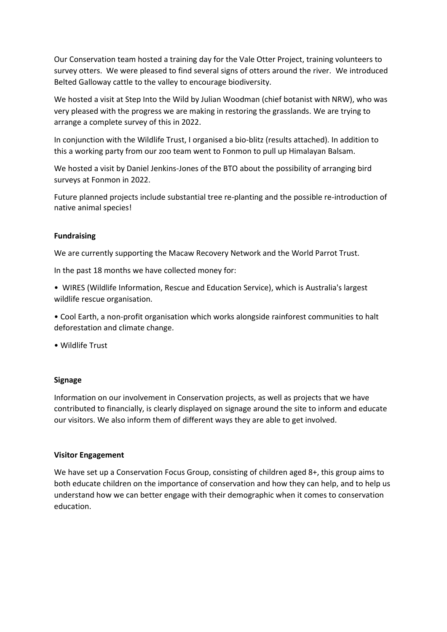Our Conservation team hosted a training day for the Vale Otter Project, training volunteers to survey otters. We were pleased to find several signs of otters around the river. We introduced Belted Galloway cattle to the valley to encourage biodiversity.

We hosted a visit at Step Into the Wild by Julian Woodman (chief botanist with NRW), who was very pleased with the progress we are making in restoring the grasslands. We are trying to arrange a complete survey of this in 2022.

In conjunction with the Wildlife Trust, I organised a bio-blitz (results attached). In addition to this a working party from our zoo team went to Fonmon to pull up Himalayan Balsam.

We hosted a visit by Daniel Jenkins-Jones of the BTO about the possibility of arranging bird surveys at Fonmon in 2022.

Future planned projects include substantial tree re-planting and the possible re-introduction of native animal species!

## **Fundraising**

We are currently supporting the Macaw Recovery Network and the World Parrot Trust.

In the past 18 months we have collected money for:

- WIRES (Wildlife Information, Rescue and Education Service), which is Australia's largest wildlife rescue organisation.
- Cool Earth, a non-profit organisation which works alongside rainforest communities to halt deforestation and climate change.

• Wildlife Trust

#### **Signage**

Information on our involvement in Conservation projects, as well as projects that we have contributed to financially, is clearly displayed on signage around the site to inform and educate our visitors. We also inform them of different ways they are able to get involved.

#### **Visitor Engagement**

We have set up a Conservation Focus Group, consisting of children aged 8+, this group aims to both educate children on the importance of conservation and how they can help, and to help us understand how we can better engage with their demographic when it comes to conservation education.